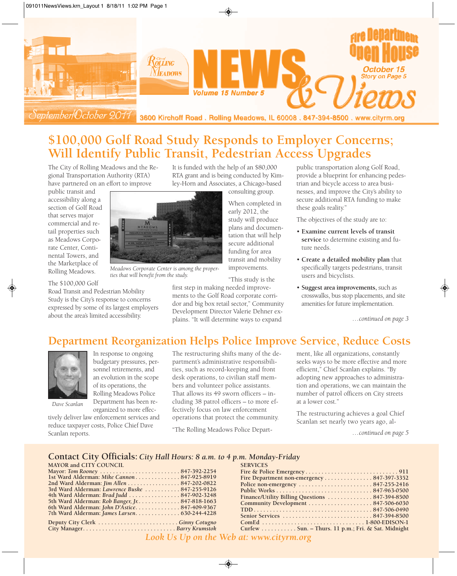

# **\$100,000 Golf Road Study Responds to Employer Concerns; Will Identify Public Transit, Pedestrian Access Upgrades**

The City of Rolling Meadows and the Regional Transportation Authority (RTA) have partnered on an effort to improve

public transit and accessibility along a section of Golf Road that serves major commercial and retail properties such as Meadows Corporate Center, Continental Towers, and the Marketplace of Rolling Meadows.

The \$100,000 Golf

Road Transit and Pedestrian Mobility Study is the City's response to concerns expressed by some of its largest employers about the area's limited accessibility.

It is funded with the help of an \$80,000 RTA grant and is being conducted by Kimley-Horn and Associates, a Chicago-based consulting group.

> When completed in early 2012, the study will produce plans and documentation that will help secure additional funding for area transit and mobility improvements.

"This study is the first step in making needed improve-

ments to the Golf Road corporate corridor and big box retail sector," Community Development Director Valerie Dehner explains. "It will determine ways to expand

public transportation along Golf Road, provide a blueprint for enhancing pedestrian and bicycle access to area businesses, and improve the City's ability to secure additional RTA funding to make these goals reality."

The objectives of the study are to:

- **Examine current levels of transit service** to determine existing and future needs.
- **Create a detailed mobility plan** that specifically targets pedestrians, transit users and bicyclists.
- **Suggest area improvements,** such as crosswalks, bus stop placements, and site amenities for future implementation.

*…continued on page 3*

## **Department Reorganization Helps Police Improve Service, Reduce Costs**



In response to ongoing budgetary pressures, personnel retirements, and an evolution in the scope of its operations, the Rolling Meadows Police Department has been reorganized to more effec-

*Dave Scanlan*

tively deliver law enforcement services and reduce taxpayer costs, Police Chief Dave Scanlan reports.

The restructuring shifts many of the department's administrative responsibilities, such as record-keeping and front desk operations, to civilian staff members and volunteer police assistants. That allows its 49 sworn officers – including 38 patrol officers – to more effectively focus on law enforcement operations that protect the community.

"The Rolling Meadows Police Depart-

ment, like all organizations, constantly seeks ways to be more effective and more efficient," Chief Scanlan explains. "By adopting new approaches to administration and operations, we can maintain the number of patrol officers on City streets at a lower cost."

The restructuring achieves a goal Chief Scanlan set nearly two years ago, al-

*…continued on page 5*

#### **Contact City Officials:** *City Hall Hours: 8 a.m. to 4 p.m. Monday-Friday*

*Meadows Corporate Center is among the proper-*

*ties that will benefit from the study.*

| <b>SERVICES</b>                                                         |
|-------------------------------------------------------------------------|
|                                                                         |
| Fire Department non-emergency 847-397-3352                              |
| Police non-emergency $\dots\dots\dots\dots\dots\dots\dots 847-255-2416$ |
|                                                                         |
| Finance/Utility Billing Questions 847-394-8500                          |
|                                                                         |
|                                                                         |
|                                                                         |
|                                                                         |
| Curfew Sun. - Thurs. 11 p.m.; Fri. & Sat. Midnight                      |
|                                                                         |

*Look Us Up on the Web at: www.cityrm.org*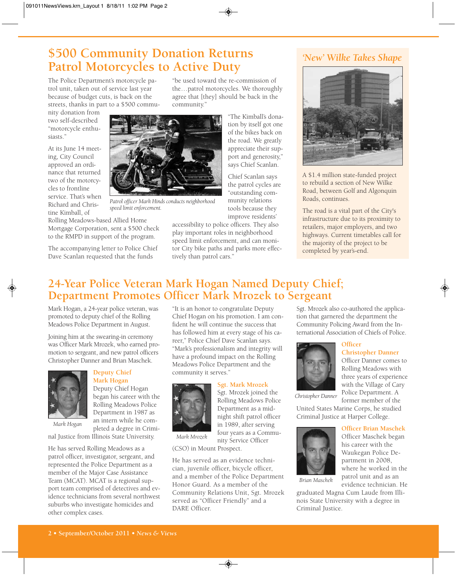# **\$500 Community Donation Returns Patrol Motorcycles to Active Duty**

The Police Department's motorcycle patrol unit, taken out of service last year because of budget cuts, is back on the streets, thanks in part to a \$500 commu-

nity donation from two self-described "motorcycle enthusiasts."

At its June 14 meeting, City Council approved an ordinance that returned two of the motorcycles to frontline service. That's when Richard and Christine Kimball, of

Rolling Meadows-based Allied Home Mortgage Corporation, sent a \$500 check to the RMPD in support of the program.

The accompanying letter to Police Chief Dave Scanlan requested that the funds

"be used toward the re-commission of the…patrol motorcycles. We thoroughly agree that [they] should be back in the community."



*Patrol officer Mark Hinds conducts neighborhood speed limit enforcement.*

improve residents' accessibility to police officers. They also play important roles in neighborhood speed limit enforcement, and can monitor City bike paths and parks more effectively than patrol cars."

munity relations tools because they

## *'New' Wilke Takes Shape*



A \$1.4 million state-funded project to rebuild a section of New Wilke Road, between Golf and Algonquin Roads, continues.

The road is a vital part of the City's infrastructure due to its proximity to retailers, major employers, and two highways. Current timetables call for the majority of the project to be completed by year's-end.

## **24-Year Police Veteran Mark Hogan Named Deputy Chief; Department Promotes Officer Mark Mrozek to Sergeant**

Mark Hogan, a 24-year police veteran, was promoted to deputy chief of the Rolling Meadows Police Department in August.

Joining him at the swearing-in ceremony was Officer Mark Mrozek, who earned promotion to sergeant, and new patrol officers Christopher Danner and Brian Maschek.



#### **Deputy Chief Mark Hogan**

Deputy Chief Hogan began his career with the Rolling Meadows Police Department in 1987 as an intern while he completed a degree in Crimi-

nal Justice from Illinois State University. *Mark Hogan*

He has served Rolling Meadows as a patrol officer, investigator, sergeant, and represented the Police Department as a member of the Major Case Assistance Team (MCAT). MCAT is a regional support team comprised of detectives and evidence technicians from several northwest suburbs who investigate homicides and other complex cases.

"It is an honor to congratulate Deputy Chief Hogan on his promotion. I am confident he will continue the success that has followed him at every stage of his career," Police Chief Dave Scanlan says. "Mark's professionalism and integrity will have a profound impact on the Rolling Meadows Police Department and the community it serves."

#### **Sgt. Mark Mrozek**



Sgt. Mrozek joined the Rolling Meadows Police Department as a midnight shift patrol officer in 1989, after serving four years as a Community Service Officer

*Mark Mrozek*

(CSO) in Mount Prospect.

He has served as an evidence technician, juvenile officer, bicycle officer, and a member of the Police Department Honor Guard. As a member of the Community Relations Unit, Sgt. Mrozek served as "Officer Friendly" and a DARE Officer.

Sgt. Mrozek also co-authored the application that garnered the department the Community Policing Award from the International Association of Chiefs of Police.

## **Officer**



Rolling Meadows with three years of experience with the Village of Cary Police Department. A former member of the

*Christopher Danner*

United States Marine Corps, he studied Criminal Justice at Harper College.



*Brian Maschek*

**Officer Brian Maschek** Officer Maschek began his career with the Waukegan Police Department in 2008, where he worked in the patrol unit and as an evidence technician. He

graduated Magna Cum Laude from Illinois State University with a degree in Criminal Justice.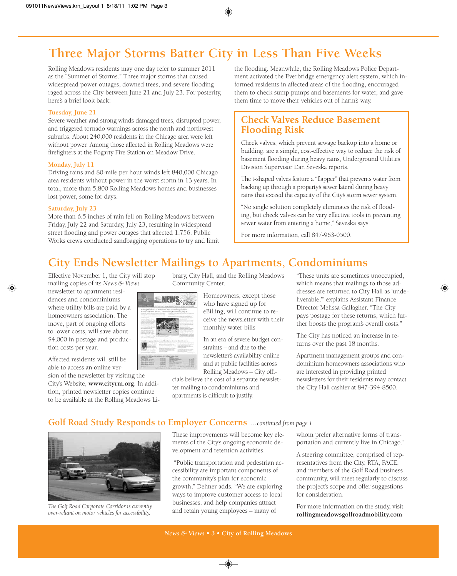# **Three Major Storms Batter City in Less Than Five Weeks**

Rolling Meadows residents may one day refer to summer 2011 as the "Summer of Storms." Three major storms that caused widespread power outages, downed trees, and severe flooding raged across the City between June 21 and July 23. For posterity, here's a brief look back:

#### **Tuesday, June 21**

Severe weather and strong winds damaged trees, disrupted power, and triggered tornado warnings across the north and northwest suburbs. About 240,000 residents in the Chicago area were left without power. Among those affected in Rolling Meadows were firefighters at the Fogarty Fire Station on Meadow Drive.

#### **Monday, July 11**

Driving rains and 80-mile per hour winds left 840,000 Chicago area residents without power in the worst storm in 13 years. In total, more than 5,800 Rolling Meadows homes and businesses lost power, some for days.

#### **Saturday, July 23**

More than 6.5 inches of rain fell on Rolling Meadows between Friday, July 22 and Saturday, July 23, resulting in widespread street flooding and power outages that affected 1,756. Public Works crews conducted sandbagging operations to try and limit the flooding. Meanwhile, the Rolling Meadows Police Department activated the Everbridge emergency alert system, which informed residents in affected areas of the flooding, encouraged them to check sump pumps and basements for water, and gave them time to move their vehicles out of harm's way.

#### **Check Valves Reduce Basement Flooding Risk**

Check valves, which prevent sewage backup into a home or building, are a simple, cost-effective way to reduce the risk of basement flooding during heavy rains, Underground Utilities Division Supervisor Dan Seveska reports.

The t-shaped valves feature a "flapper" that prevents water from backing up through a property's sewer lateral during heavy rains that exceed the capacity of the City's storm sewer system.

"No single solution completely eliminates the risk of flooding, but check valves can be very effective tools in preventing sewer water from entering a home," Seveska says.

For more information, call 847-963-0500.

## **City Ends Newsletter Mailings to Apartments, Condominiums**

Effective November 1, the City will stop mailing copies of its *News & Views*

newsletter to apartment residences and condominiums where utility bills are paid by a homeowners association. The move, part of ongoing efforts to lower costs, will save about \$4,000 in postage and production costs per year.

Affected residents will still be able to access an online ver-

sion of the newsletter by visiting the City's Website, **www.cityrm.org**. In addition, printed newsletter copies continue to be available at the Rolling Meadows Library, City Hall, and the Rolling Meadows Community Center.

> Homeowners, except those who have signed up for eBilling, will continue to receive the newsletter with their monthly water bills.

In an era of severe budget constraints – and due to the newsletter's availability online and at public facilities across Rolling Meadows – City offi-

cials believe the cost of a separate newsletter mailing to condominiums and apartments is difficult to justify.

"These units are sometimes unoccupied, which means that mailings to those addresses are returned to City Hall as 'undeliverable,'" explains Assistant Finance Director Melissa Gallagher. "The City pays postage for these returns, which further boosts the program's overall costs."

The City has noticed an increase in returns over the past 18 months.

Apartment management groups and condominium homeowners associations who are interested in providing printed newsletters for their residents may contact the City Hall cashier at 847-394-8500.

### **Golf Road Study Responds to Employer Concerns** *…continued from page 1*

**NEWS** Views



*The Golf Road Corporate Corridor is currently over-reliant on motor vehicles for accessibility.*

These improvements will become key elements of the City's ongoing economic development and retention activities.

"Public transportation and pedestrian accessibility are important components of the community's plan for economic growth," Dehner adds. "We are exploring ways to improve customer access to local businesses, and help companies attract and retain young employees – many of

whom prefer alternative forms of transportation and currently live in Chicago."

A steering committee, comprised of representatives from the City, RTA, PACE, and members of the Golf Road business community, will meet regularly to discuss the project's scope and offer suggestions for consideration.

For more information on the study, visit **rollingmeadowsgolfroadmobility.com**.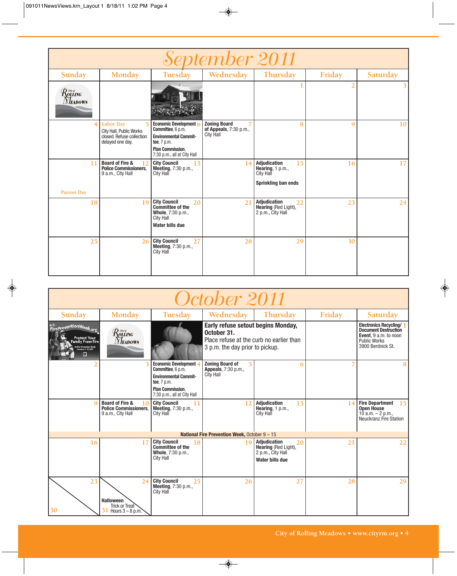| September 2011                                                                                                                                   |                                                                                                                |                                                                                                                                                      |                                                                   |                                                                                     |        |          |  |  |  |  |
|--------------------------------------------------------------------------------------------------------------------------------------------------|----------------------------------------------------------------------------------------------------------------|------------------------------------------------------------------------------------------------------------------------------------------------------|-------------------------------------------------------------------|-------------------------------------------------------------------------------------|--------|----------|--|--|--|--|
| Sunday                                                                                                                                           | Monday                                                                                                         | Tuesday                                                                                                                                              | Wednesday                                                         | Thursday                                                                            | Friday | Saturday |  |  |  |  |
| $\mathcal{R}^{\tiny{{\scriptscriptstyle{{G\!\mathit{w}}}{\scriptscriptstyle{{G\!\mathit{w}}}}}}}_{{\scriptscriptstyle{\rm{OLLING}}}}$<br>Meadows |                                                                                                                |                                                                                                                                                      |                                                                   |                                                                                     |        |          |  |  |  |  |
|                                                                                                                                                  | <b>Labor Day</b><br>$\overline{5}$<br>City Hall, Public Works<br>closed. Refuse collection<br>delayed one day. | Economic Development 6<br>Committee, 6 p.m.<br><b>Environmental Commit-</b><br>tee, 7 p.m.<br><b>Plan Commission.</b><br>7:30 p.m., all at City Hall | <b>Zoning Board</b><br>of Appeals, 7:30 p.m.,<br><b>City Hall</b> | 8                                                                                   | 9      | 10       |  |  |  |  |
| 11<br><b>Patriot Day</b>                                                                                                                         | <b>Board of Fire &amp;</b><br>12<br><b>Police Commissioners.</b><br>9 a.m., City Hall                          | <b>City Council</b><br>13<br>Meeting, 7:30 p.m.,<br><b>City Hall</b>                                                                                 | 14                                                                | Adjudication<br>15<br>Hearing, $1 p.m.,$<br><b>City Hall</b><br>Sprinkling ban ends | 16     | 17       |  |  |  |  |
| 18                                                                                                                                               | 19                                                                                                             | <b>City Council</b><br>20<br><b>Committee of the</b><br>Whole, 7:30 p.m.,<br><b>City Hall</b><br><b>Water bills due</b>                              | 21                                                                | <b>Adjudication</b><br>22<br>Hearing (Red Light),<br>2 p.m., City Hall              | 23     | 24       |  |  |  |  |
| 25                                                                                                                                               | 26                                                                                                             | <b>City Council</b><br>27<br><b>Meeting, 7:30 p.m.,</b><br><b>City Hall</b>                                                                          | 28                                                                | 29                                                                                  | 30     |          |  |  |  |  |

| October 2011                                                                                                                  |                                                                                       |                                                                                                                                                      |                                                                                                                                  |                                                                                    |        |                                                                                                                                   |  |  |  |  |
|-------------------------------------------------------------------------------------------------------------------------------|---------------------------------------------------------------------------------------|------------------------------------------------------------------------------------------------------------------------------------------------------|----------------------------------------------------------------------------------------------------------------------------------|------------------------------------------------------------------------------------|--------|-----------------------------------------------------------------------------------------------------------------------------------|--|--|--|--|
| Sunday                                                                                                                        | Monday                                                                                | Tuesday                                                                                                                                              | Wednesday                                                                                                                        | Thursday                                                                           | Friday | Saturday                                                                                                                          |  |  |  |  |
| <b><i>FirePreventionWeek.org</i></b><br>Protect Your<br>Family From Fire<br>S Fire Prevention Week<br>October 9–15, 2011<br>U | $\mathcal{R}$ ovstrong $\mathcal{R}$<br><b>NEADOWS</b>                                |                                                                                                                                                      | Early refuse setout begins Monday,<br>October 31.<br>Place refuse at the curb no earlier than<br>3 p.m. the day prior to pickup. |                                                                                    |        | <b>Electronics Recycling/</b><br><b>Document Destruction</b><br>Event, 9 a.m. to noon<br><b>Public Works</b><br>3900 Berdnick St. |  |  |  |  |
|                                                                                                                               |                                                                                       | Economic Development ∠<br>Committee, 6 p.m.<br><b>Environmental Commit-</b><br>tee, 7 p.m.<br><b>Plan Commission.</b><br>7:30 p.m., all at City Hall | <b>Zoning Board of</b><br><b>Appeals</b> , 7:30 p.m.,<br>City Hall                                                               | 6                                                                                  |        |                                                                                                                                   |  |  |  |  |
|                                                                                                                               | <b>Board of Fire &amp;</b><br>10<br><b>Police Commissioners.</b><br>9 a.m., City Hall | <b>City Council</b><br>11<br><b>Meeting, 7:30 p.m.,</b><br>City Hall                                                                                 | 12                                                                                                                               | <b>Adjudication</b><br>13<br>Hearing, 1 p.m.,<br>City Hall                         | 14     | <b>Fire Department</b><br>15<br><b>Open House</b><br>10 $a.m. - 2 p.m.$<br>Neuckranz Fire Station                                 |  |  |  |  |
|                                                                                                                               |                                                                                       |                                                                                                                                                      | National Fire Prevention Week, October 9 - 15                                                                                    |                                                                                    |        |                                                                                                                                   |  |  |  |  |
| 16                                                                                                                            | 17                                                                                    | <b>City Council</b><br>18<br><b>Committee of the</b><br>Whole, 7:30 p.m.,<br>City Hall                                                               | 1 Q                                                                                                                              | Adjudication<br>20<br>Hearing (Red Light),<br>2 p.m., City Hall<br>Water bills due | 21     | 22                                                                                                                                |  |  |  |  |
| 23<br>30                                                                                                                      | 24<br><b>Halloween</b><br>Trick or Treat<br>Hours $3 - 8$ p.m.                        | <b>City Council</b><br>25<br>Meeting, 7:30 p.m.,<br>City Hall                                                                                        | 26                                                                                                                               | 27                                                                                 | 28     | 29                                                                                                                                |  |  |  |  |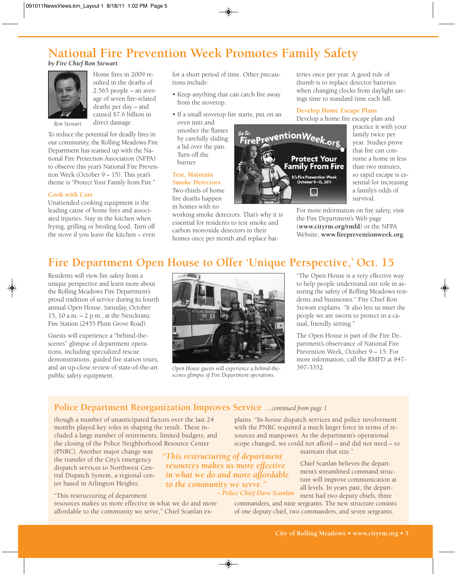# **National Fire Prevention Week Promotes Family Safety**

*by Fire Chief Ron Stewart*



Home fires in 2009 resulted in the deaths of 2,565 people – an average of seven fire-related deaths per day – and caused \$7.6 billion in direct damage.

*Ron Stewart*

To reduce the potential for deadly fires in our community, the Rolling Meadows Fire Department has teamed up with the National Fire Protection Association (NFPA) to observe this year's National Fire Prevention Week (October 9 – 15). This year's theme is "Protect Your Family from Fire."

#### **Cook with Care**

Unattended cooking equipment is the leading cause of home fires and associated injuries. Stay in the kitchen when frying, grilling or broiling food. Turn off the stove if you leave the kitchen – even for a short period of time. Other precautions include:

- Keep anything that can catch fire away from the stovetop.
- If a small stovetop fire starts, put on an oven mitt and smother the flames by carefully sliding a lid over the pan. Turn off the burner.

#### **Test, Maintain Smoke Detectors** Two-thirds of home

fire deaths happen in homes with no

working smoke detectors. That's why it is essential for residents to test smoke and carbon monoxide detectors in their homes once per month and replace batteries once per year. A good rule of thumb is to replace detector batteries when changing clocks from daylight savings time to standard time each fall.

#### **Develop Home Escape Plans**

Develop a home fire escape plan and

<sup>se To:</sup><br>FirePreventionWeek.org **Protect Your Family From Fire** It's Fire Prevention Week<br>October 9–15, 2011  $\mathcal{M}_2$ 

practice it with your family twice per year. Studies prove that fire can consume a home in less than two minutes, so rapid escape is essential for increasing a family's odds of survival.

For more information on fire safety, visit the Fire Department's Web page (**www.cityrm.org/rmfd**) or the NFPA Website, **www.firepreventionweek.org**.

## **Fire Department Open House to Offer 'Unique Perspective,' Oct. 15**

Residents will view fire safety from a unique perspective and learn more about the Rolling Meadows Fire Department's proud tradition of service during its fourth annual Open House, Saturday, October 15, 10 a.m. – 2 p.m., at the Neuckranz Fire Station (2455 Plum Grove Road).

Guests will experience a "behind-thescenes" glimpse of department operations, including specialized rescue demonstrations, guided fire station tours, and an up-close review of state-of-the-art public safety equipment.



*Open House guests will experience a behind-the-* 397-3352. *scenes glimpse of Fire Department operations.*

"The Open House is a very effective way to help people understand our role in assuring the safety of Rolling Meadows residents and businesses." Fire Chief Ron Stewart explains. "It also lets us meet the people we are sworn to protect in a casual, friendly setting."

The Open House is part of the Fire Department's observance of National Fire Prevention Week, October 9 – 15. For more information, call the RMFD at 847-

#### **Police Department Reorganization Improves Service** *…continued from page 1*

though a number of unanticipated factors over the last 24 months played key roles in shaping the result. These included a large number of retirements, limited budgets, and the closing of the Police Neighborhood Resource Center

(PNRC). Another major change was the transfer of the City's emergency dispatch services to Northwest Central Dispatch System, a regional center based in Arlington Heights.

"This restructuring of department resources makes us more effective in what we do and more affordable to the community we serve," Chief Scanlan ex-

*"This restructuring of department resources makes us more effective in what we do and more affordable to the community we serve." – Police Chief Dave Scanlan*

plains. "In-house dispatch services and police involvement with the PNRC required a much larger force in terms of resources and manpower. As the department's operational scope changed, we could not afford – and did not need – to

maintain that size."

Chief Scanlan believes the department's streamlined command structure will improve communication at all levels. In years past, the department had two deputy chiefs, three

commanders, and nine sergeants. The new structure consists of one deputy chief, two commanders, and seven sergeants.